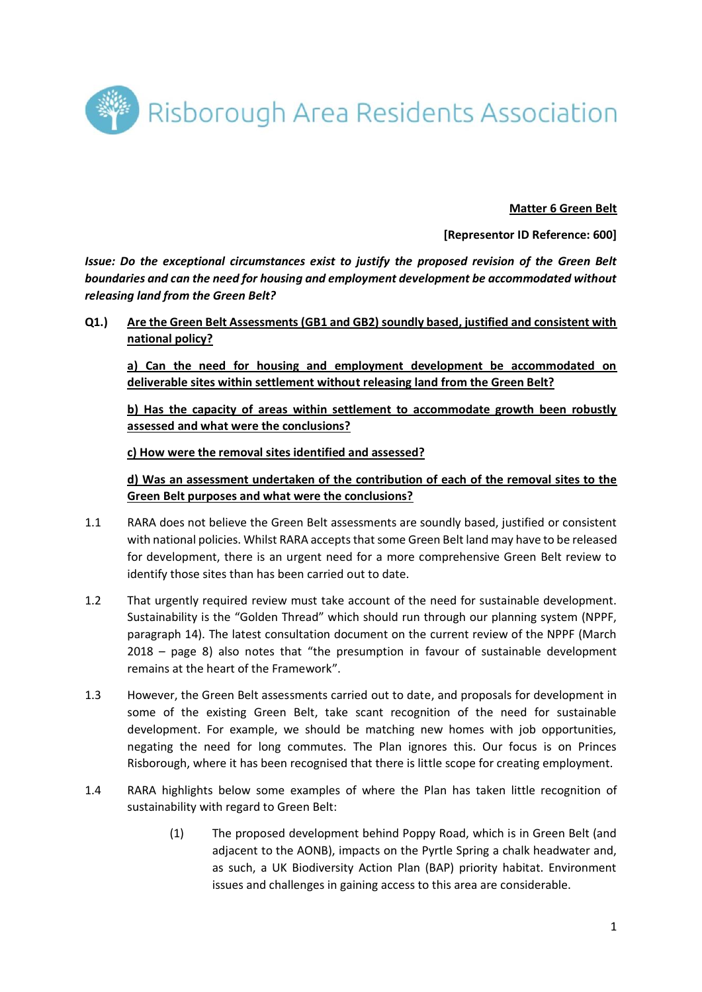

**Matter 6 Green Belt**

**[Representor ID Reference: 600]**

*Issue: Do the exceptional circumstances exist to justify the proposed revision of the Green Belt boundaries and can the need for housing and employment development be accommodated without releasing land from the Green Belt?*

**Q1.) Are the Green Belt Assessments (GB1 and GB2) soundly based, justified and consistent with national policy?** 

**a) Can the need for housing and employment development be accommodated on deliverable sites within settlement without releasing land from the Green Belt?** 

**b) Has the capacity of areas within settlement to accommodate growth been robustly assessed and what were the conclusions?** 

**c) How were the removal sites identified and assessed?** 

**d) Was an assessment undertaken of the contribution of each of the removal sites to the Green Belt purposes and what were the conclusions?**

- 1.1 RARA does not believe the Green Belt assessments are soundly based, justified or consistent with national policies. Whilst RARA accepts that some Green Belt land may have to be released for development, there is an urgent need for a more comprehensive Green Belt review to identify those sites than has been carried out to date.
- 1.2 That urgently required review must take account of the need for sustainable development. Sustainability is the "Golden Thread" which should run through our planning system (NPPF, paragraph 14). The latest consultation document on the current review of the NPPF (March 2018 – page 8) also notes that "the presumption in favour of sustainable development remains at the heart of the Framework".
- 1.3 However, the Green Belt assessments carried out to date, and proposals for development in some of the existing Green Belt, take scant recognition of the need for sustainable development. For example, we should be matching new homes with job opportunities, negating the need for long commutes. The Plan ignores this. Our focus is on Princes Risborough, where it has been recognised that there is little scope for creating employment.
- 1.4 RARA highlights below some examples of where the Plan has taken little recognition of sustainability with regard to Green Belt:
	- (1) The proposed development behind Poppy Road, which is in Green Belt (and adjacent to the AONB), impacts on the Pyrtle Spring a chalk headwater and, as such, a UK Biodiversity Action Plan (BAP) priority habitat. Environment issues and challenges in gaining access to this area are considerable.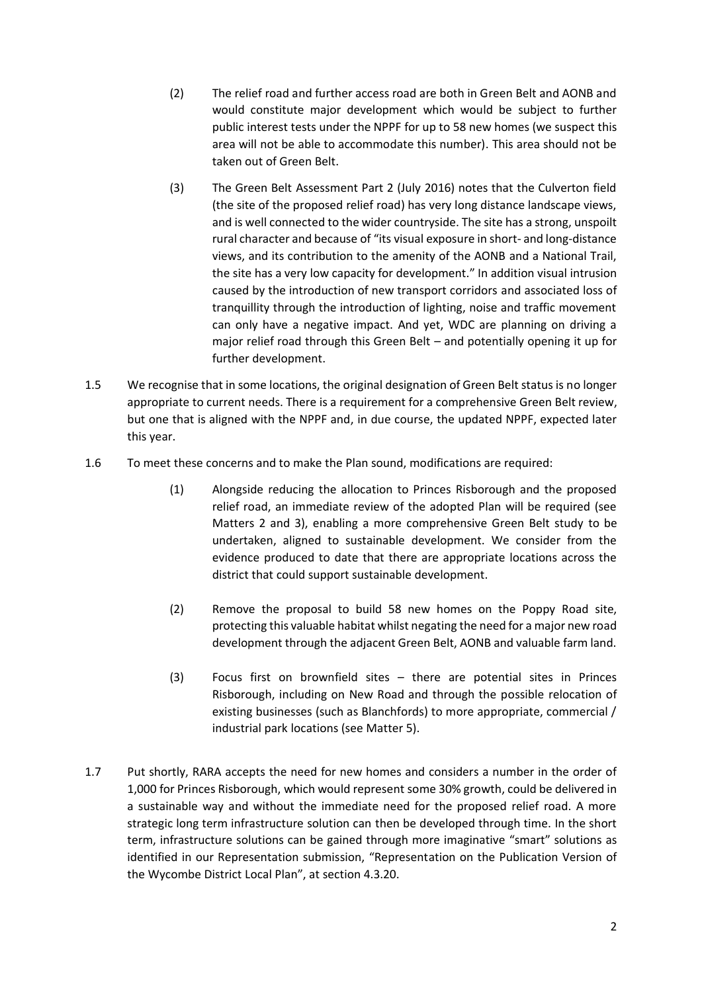- (2) The relief road and further access road are both in Green Belt and AONB and would constitute major development which would be subject to further public interest tests under the NPPF for up to 58 new homes (we suspect this area will not be able to accommodate this number). This area should not be taken out of Green Belt.
- (3) The Green Belt Assessment Part 2 (July 2016) notes that the Culverton field (the site of the proposed relief road) has very long distance landscape views, and is well connected to the wider countryside. The site has a strong, unspoilt rural character and because of "its visual exposure in short- and long-distance views, and its contribution to the amenity of the AONB and a National Trail, the site has a very low capacity for development." In addition visual intrusion caused by the introduction of new transport corridors and associated loss of tranquillity through the introduction of lighting, noise and traffic movement can only have a negative impact. And yet, WDC are planning on driving a major relief road through this Green Belt – and potentially opening it up for further development.
- 1.5 We recognise that in some locations, the original designation of Green Belt status is no longer appropriate to current needs. There is a requirement for a comprehensive Green Belt review, but one that is aligned with the NPPF and, in due course, the updated NPPF, expected later this year.
- 1.6 To meet these concerns and to make the Plan sound, modifications are required:
	- (1) Alongside reducing the allocation to Princes Risborough and the proposed relief road, an immediate review of the adopted Plan will be required (see Matters 2 and 3), enabling a more comprehensive Green Belt study to be undertaken, aligned to sustainable development. We consider from the evidence produced to date that there are appropriate locations across the district that could support sustainable development.
	- (2) Remove the proposal to build 58 new homes on the Poppy Road site, protecting this valuable habitat whilst negating the need for a major new road development through the adjacent Green Belt, AONB and valuable farm land.
	- (3) Focus first on brownfield sites there are potential sites in Princes Risborough, including on New Road and through the possible relocation of existing businesses (such as Blanchfords) to more appropriate, commercial / industrial park locations (see Matter 5).
- 1.7 Put shortly, RARA accepts the need for new homes and considers a number in the order of 1,000 for Princes Risborough, which would represent some 30% growth, could be delivered in a sustainable way and without the immediate need for the proposed relief road. A more strategic long term infrastructure solution can then be developed through time. In the short term, infrastructure solutions can be gained through more imaginative "smart" solutions as identified in our Representation submission, "Representation on the Publication Version of the Wycombe District Local Plan", at section 4.3.20.